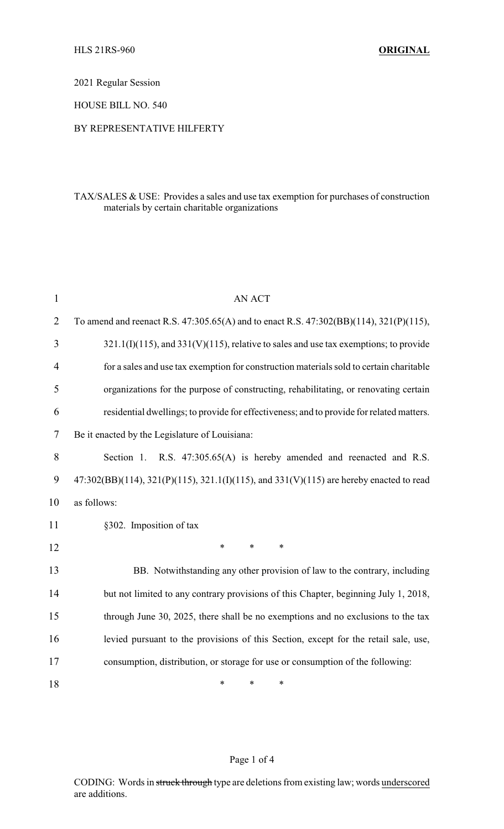2021 Regular Session

HOUSE BILL NO. 540

## BY REPRESENTATIVE HILFERTY

## TAX/SALES & USE: Provides a sales and use tax exemption for purchases of construction materials by certain charitable organizations

| $\mathbf{1}$   | <b>AN ACT</b>                                                                              |
|----------------|--------------------------------------------------------------------------------------------|
| $\overline{2}$ | To amend and reenact R.S. 47:305.65(A) and to enact R.S. 47:302(BB)(114), 321(P)(115),     |
| 3              | $321.1(I)(115)$ , and $331(V)(115)$ , relative to sales and use tax exemptions; to provide |
| 4              | for a sales and use tax exemption for construction materials sold to certain charitable    |
| 5              | organizations for the purpose of constructing, rehabilitating, or renovating certain       |
| 6              | residential dwellings; to provide for effectiveness; and to provide for related matters.   |
| 7              | Be it enacted by the Legislature of Louisiana:                                             |
| 8              | Section 1. R.S. 47:305.65(A) is hereby amended and reenacted and R.S.                      |
| 9              | 47:302(BB)(114), 321(P)(115), 321.1(I)(115), and 331(V)(115) are hereby enacted to read    |
| 10             | as follows:                                                                                |
| 11             | §302. Imposition of tax                                                                    |
| 12             | *<br>$\ast$<br>$\ast$                                                                      |
| 13             | BB. Notwithstanding any other provision of law to the contrary, including                  |
| 14             | but not limited to any contrary provisions of this Chapter, beginning July 1, 2018,        |
| 15             | through June 30, 2025, there shall be no exemptions and no exclusions to the tax           |
| 16             | levied pursuant to the provisions of this Section, except for the retail sale, use,        |
| 17             | consumption, distribution, or storage for use or consumption of the following:             |
| 18             | $\ast$<br>∗<br>∗                                                                           |

## Page 1 of 4

CODING: Words in struck through type are deletions from existing law; words underscored are additions.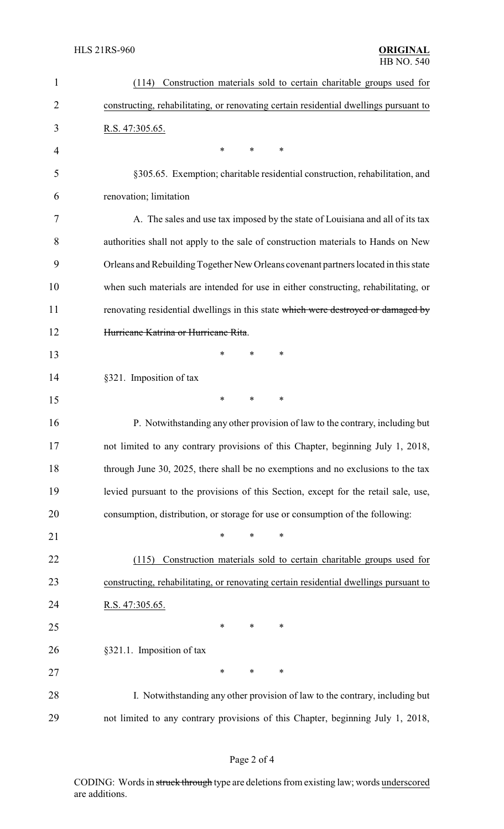| $\mathbf{1}$   | Construction materials sold to certain charitable groups used for<br>(114)            |
|----------------|---------------------------------------------------------------------------------------|
| $\overline{2}$ | constructing, rehabilitating, or renovating certain residential dwellings pursuant to |
| 3              | <u>R.S. 47:305.65.</u>                                                                |
| $\overline{4}$ | $\ast$<br>*<br>*                                                                      |
| 5              | §305.65. Exemption; charitable residential construction, rehabilitation, and          |
| 6              | renovation; limitation                                                                |
| 7              | A. The sales and use tax imposed by the state of Louisiana and all of its tax         |
| 8              | authorities shall not apply to the sale of construction materials to Hands on New     |
| 9              | Orleans and Rebuilding Together New Orleans covenant partners located in this state   |
| 10             | when such materials are intended for use in either constructing, rehabilitating, or   |
| 11             | renovating residential dwellings in this state which were destroyed or damaged by     |
| 12             | Hurricane Katrina or Hurricane Rita.                                                  |
| 13             | *<br>*<br>*                                                                           |
| 14             | §321. Imposition of tax                                                               |
| 15             | $\ast$<br>*<br>∗                                                                      |
| 16             | P. Notwithstanding any other provision of law to the contrary, including but          |
| 17             | not limited to any contrary provisions of this Chapter, beginning July 1, 2018,       |
| 18             | through June 30, 2025, there shall be no exemptions and no exclusions to the tax      |
| 19             | levied pursuant to the provisions of this Section, except for the retail sale, use,   |
| 20             | consumption, distribution, or storage for use or consumption of the following:        |
| 21             | $\ast$<br>$\ast$<br>*                                                                 |
| 22             | Construction materials sold to certain charitable groups used for<br>(115)            |
| 23             | constructing, rehabilitating, or renovating certain residential dwellings pursuant to |
| 24             | R.S. 47:305.65.                                                                       |
| 25             | ∗<br>*<br>∗                                                                           |
| 26             | §321.1. Imposition of tax                                                             |
| 27             | ∗<br>∗<br>∗                                                                           |
| 28             | I. Notwithstanding any other provision of law to the contrary, including but          |
| 29             | not limited to any contrary provisions of this Chapter, beginning July 1, 2018,       |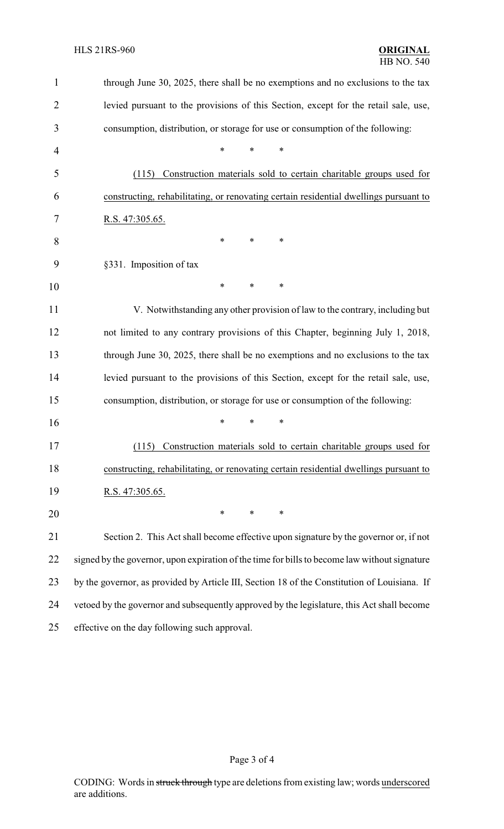| $\mathbf{1}$   | through June 30, 2025, there shall be no exemptions and no exclusions to the tax              |  |  |  |
|----------------|-----------------------------------------------------------------------------------------------|--|--|--|
| $\overline{2}$ | levied pursuant to the provisions of this Section, except for the retail sale, use,           |  |  |  |
| 3              | consumption, distribution, or storage for use or consumption of the following:                |  |  |  |
| 4              | *<br>*<br>*                                                                                   |  |  |  |
| 5              | Construction materials sold to certain charitable groups used for<br>(115)                    |  |  |  |
| 6              | constructing, rehabilitating, or renovating certain residential dwellings pursuant to         |  |  |  |
| 7              | R.S. 47:305.65.                                                                               |  |  |  |
| 8              | *<br>∗<br>∗                                                                                   |  |  |  |
| 9              | §331. Imposition of tax                                                                       |  |  |  |
| 10             | $\ast$<br>*<br>*                                                                              |  |  |  |
| 11             | V. Notwithstanding any other provision of law to the contrary, including but                  |  |  |  |
| 12             | not limited to any contrary provisions of this Chapter, beginning July 1, 2018,               |  |  |  |
| 13             | through June 30, 2025, there shall be no exemptions and no exclusions to the tax              |  |  |  |
| 14             | levied pursuant to the provisions of this Section, except for the retail sale, use,           |  |  |  |
| 15             | consumption, distribution, or storage for use or consumption of the following:                |  |  |  |
| 16             | *<br>∗<br>∗                                                                                   |  |  |  |
| 17             | (115) Construction materials sold to certain charitable groups used for                       |  |  |  |
| 18             | constructing, rehabilitating, or renovating certain residential dwellings pursuant to         |  |  |  |
| 19             | R.S. 47:305.65.                                                                               |  |  |  |
| 20             | *<br>$\ast$<br>$\ast$                                                                         |  |  |  |
| 21             | Section 2. This Act shall become effective upon signature by the governor or, if not          |  |  |  |
| 22             | signed by the governor, upon expiration of the time for bills to become law without signature |  |  |  |
| 23             | by the governor, as provided by Article III, Section 18 of the Constitution of Louisiana. If  |  |  |  |
| 24             | vetoed by the governor and subsequently approved by the legislature, this Act shall become    |  |  |  |
| 25             | effective on the day following such approval.                                                 |  |  |  |